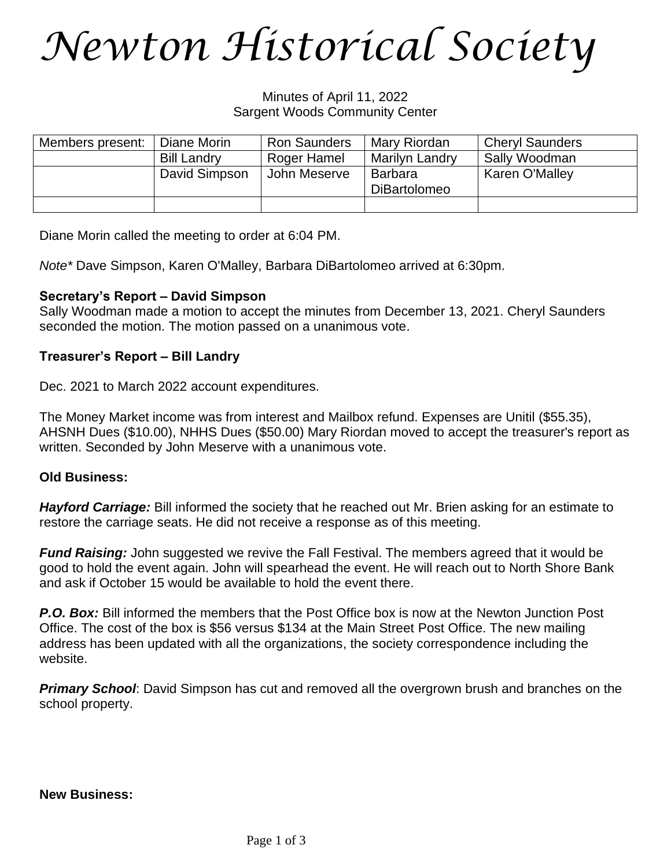### *Newton Historical Society*

Minutes of April 11, 2022 Sargent Woods Community Center

| Members present: | Diane Morin        | <b>Ron Saunders</b> | Mary Riordan          | <b>Cheryl Saunders</b> |
|------------------|--------------------|---------------------|-----------------------|------------------------|
|                  | <b>Bill Landry</b> | Roger Hamel         | <b>Marilyn Landry</b> | Sally Woodman          |
|                  | David Simpson      | John Meserve        | Barbara               | Karen O'Malley         |
|                  |                    |                     | <b>DiBartolomeo</b>   |                        |
|                  |                    |                     |                       |                        |

Diane Morin called the meeting to order at 6:04 PM.

*Note\** Dave Simpson, Karen O'Malley, Barbara DiBartolomeo arrived at 6:30pm.

### **Secretary's Report – David Simpson**

Sally Woodman made a motion to accept the minutes from December 13, 2021. Cheryl Saunders seconded the motion. The motion passed on a unanimous vote.

### **Treasurer's Report – Bill Landry**

Dec. 2021 to March 2022 account expenditures.

The Money Market income was from interest and Mailbox refund. Expenses are Unitil (\$55.35), AHSNH Dues (\$10.00), NHHS Dues (\$50.00) Mary Riordan moved to accept the treasurer's report as written. Seconded by John Meserve with a unanimous vote.

#### **Old Business:**

*Hayford Carriage:* Bill informed the society that he reached out Mr. Brien asking for an estimate to restore the carriage seats. He did not receive a response as of this meeting.

*Fund Raising:* John suggested we revive the Fall Festival. The members agreed that it would be good to hold the event again. John will spearhead the event. He will reach out to North Shore Bank and ask if October 15 would be available to hold the event there.

*P.O. Box:* Bill informed the members that the Post Office box is now at the Newton Junction Post Office. The cost of the box is \$56 versus \$134 at the Main Street Post Office. The new mailing address has been updated with all the organizations, the society correspondence including the website.

*Primary School*: David Simpson has cut and removed all the overgrown brush and branches on the school property.

**New Business:**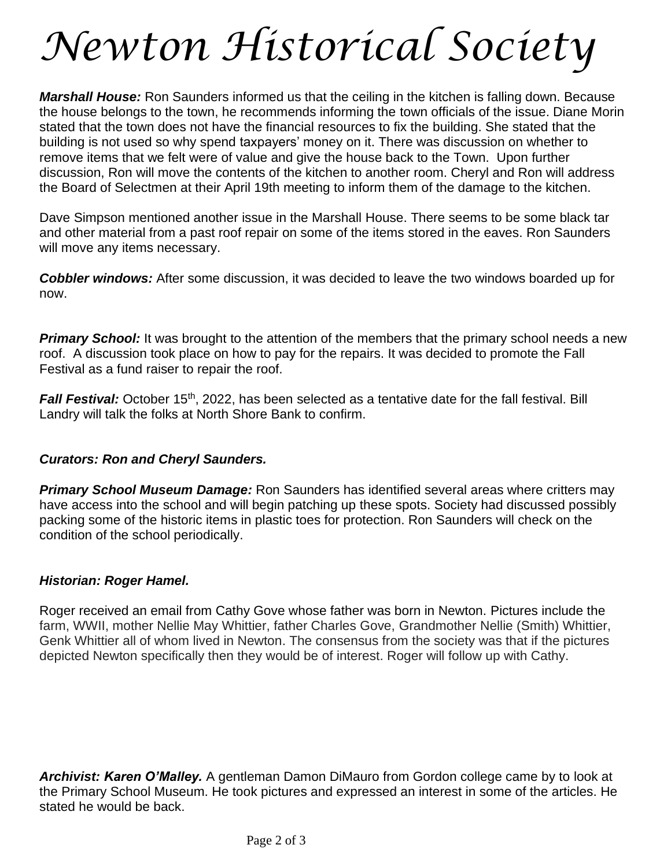# *Newton Historical Society*

*Marshall House:* Ron Saunders informed us that the ceiling in the kitchen is falling down. Because the house belongs to the town, he recommends informing the town officials of the issue. Diane Morin stated that the town does not have the financial resources to fix the building. She stated that the building is not used so why spend taxpayers' money on it. There was discussion on whether to remove items that we felt were of value and give the house back to the Town. Upon further discussion, Ron will move the contents of the kitchen to another room. Cheryl and Ron will address the Board of Selectmen at their April 19th meeting to inform them of the damage to the kitchen.

Dave Simpson mentioned another issue in the Marshall House. There seems to be some black tar and other material from a past roof repair on some of the items stored in the eaves. Ron Saunders will move any items necessary.

*Cobbler windows:* After some discussion, it was decided to leave the two windows boarded up for now.

*Primary School:* It was brought to the attention of the members that the primary school needs a new roof. A discussion took place on how to pay for the repairs. It was decided to promote the Fall Festival as a fund raiser to repair the roof.

Fall Festival: October 15<sup>th</sup>, 2022, has been selected as a tentative date for the fall festival. Bill Landry will talk the folks at North Shore Bank to confirm.

### *Curators: Ron and Cheryl Saunders.*

*Primary School Museum Damage:* Ron Saunders has identified several areas where critters may have access into the school and will begin patching up these spots. Society had discussed possibly packing some of the historic items in plastic toes for protection. Ron Saunders will check on the condition of the school periodically.

### *Historian: Roger Hamel.*

Roger received an email from Cathy Gove whose father was born in Newton. Pictures include the farm, WWII, mother Nellie May Whittier, father Charles Gove, Grandmother Nellie (Smith) Whittier, Genk Whittier all of whom lived in Newton. The consensus from the society was that if the pictures depicted Newton specifically then they would be of interest. Roger will follow up with Cathy.

*Archivist: Karen O'Malley.* A gentleman Damon DiMauro from Gordon college came by to look at the Primary School Museum. He took pictures and expressed an interest in some of the articles. He stated he would be back.